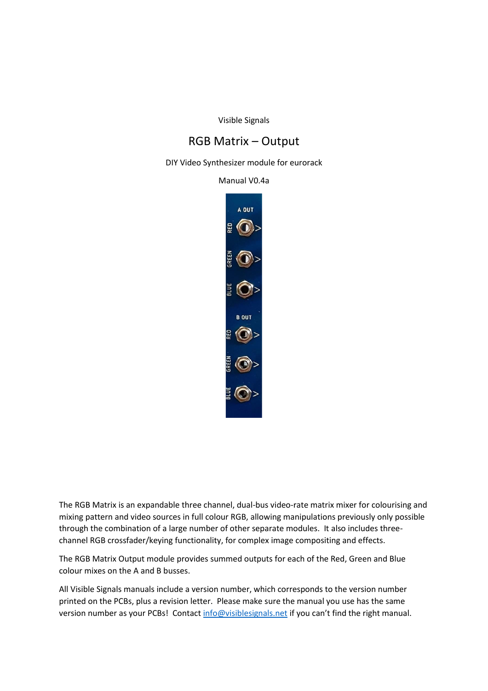Visible Signals

## RGB Matrix – Output

DIY Video Synthesizer module for eurorack

Manual V0.4a



The RGB Matrix is an expandable three channel, dual-bus video-rate matrix mixer for colourising and mixing pattern and video sources in full colour RGB, allowing manipulations previously only possible through the combination of a large number of other separate modules. It also includes threechannel RGB crossfader/keying functionality, for complex image compositing and effects.

The RGB Matrix Output module provides summed outputs for each of the Red, Green and Blue colour mixes on the A and B busses.

All Visible Signals manuals include a version number, which corresponds to the version number printed on the PCBs, plus a revision letter. Please make sure the manual you use has the same version number as your PCBs! Contac[t info@visiblesignals.net](mailto:info@visiblesignals.net) if you can't find the right manual.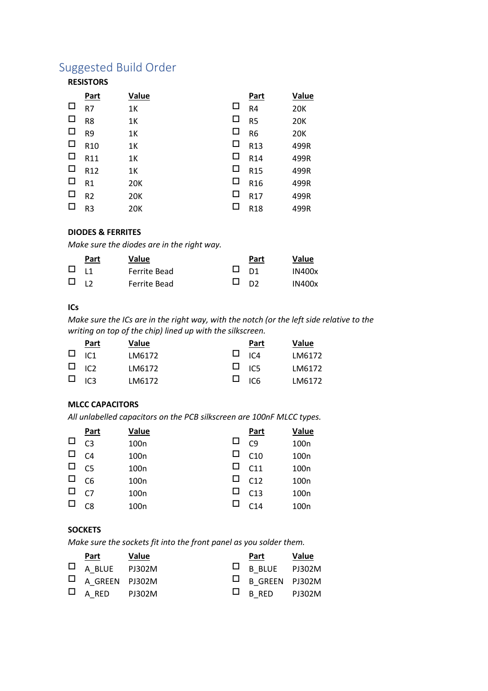# Suggested Build Order

## **RESISTORS**

|        | Part            | Value      |        | Part            | Value      |
|--------|-----------------|------------|--------|-----------------|------------|
| □      | R7              | 1K         | □      | R <sub>4</sub>  | <b>20K</b> |
| □      | R <sub>8</sub>  | 1K         | $\Box$ | R <sub>5</sub>  | <b>20K</b> |
| $\Box$ | R <sub>9</sub>  | 1K         | □      | R <sub>6</sub>  | <b>20K</b> |
| $\Box$ | R <sub>10</sub> | 1K         | □      | R13             | 499R       |
| □      | R11             | 1K         | □      | R14             | 499R       |
| □      | R12             | 1K         | □      | R <sub>15</sub> | 499R       |
| □      | R <sub>1</sub>  | 20K        | □      | R <sub>16</sub> | 499R       |
| $\Box$ | R <sub>2</sub>  | <b>20K</b> | □      | R17             | 499R       |
| □      | R <sub>3</sub>  | 20K        | $\Box$ | R <sub>18</sub> | 499R       |

### **DIODES & FERRITES**

*Make sure the diodes are in the right way.*

|              | Part | <b>Value</b> |      | Part | Value         |
|--------------|------|--------------|------|------|---------------|
| $\square$ 11 |      | Ferrite Bead | ⊔ n1 |      | <b>IN400x</b> |
| $\Box$ 12    |      | Ferrite Bead | ים ⊔ |      | <b>IN400x</b> |

## **ICs**

*Make sure the ICs are in the right way, with the notch (or the left side relative to the writing on top of the chip) lined up with the silkscreen.*

| Part          | Value  | Part          | Value  |
|---------------|--------|---------------|--------|
| $\Box$ IC1    | LM6172 | $\Box$ $\Box$ | LM6172 |
| $\Box$ $\Box$ | LM6172 | $\Box$ $\Box$ | LM6172 |
| $\Box$ $\Box$ | LM6172 | $\Box$ $\Box$ | LM6172 |

### **MLCC CAPACITORS**

*All unlabelled capacitors on the PCB silkscreen are 100nF MLCC types.*

|        | <b>Part</b>    | Value            |   | <b>Part</b>     | Value            |
|--------|----------------|------------------|---|-----------------|------------------|
| □      | C <sub>3</sub> | 100 <sub>n</sub> | □ | C <sub>9</sub>  | 100 <sub>n</sub> |
| $\Box$ | C <sub>4</sub> | 100 <sub>n</sub> | □ | C10             | 100 <sub>n</sub> |
| $\Box$ | C <sub>5</sub> | 100 <sub>n</sub> | □ | C11             | 100 <sub>n</sub> |
| $\Box$ | C6             | 100 <sub>n</sub> | □ | C12             | 100 <sub>n</sub> |
| $\Box$ | C <sub>7</sub> | 100 <sub>n</sub> | □ | C13             | 100 <sub>n</sub> |
| □      | C <sub>8</sub> | 100 <sub>n</sub> |   | C <sub>14</sub> | 100 <sub>n</sub> |

#### **SOCKETS**

*Make sure the sockets fit into the front panel as you solder them.*

| Part                  | <b>Value</b> | Part                  | Value |
|-----------------------|--------------|-----------------------|-------|
| $\Box$ A BLUE PJ302M  |              | $\Box$ B BLUE PJ302M  |       |
| $\Box$ A GREEN PJ302M |              | $\Box$ B GREEN PJ302M |       |
| $\Box$ A RED PJ302M   |              | $\Box$ B RED PJ302M   |       |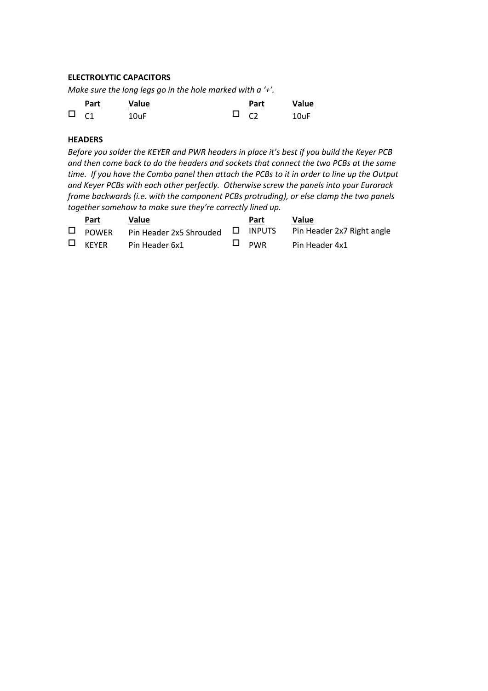## **ELECTROLYTIC CAPACITORS**

*Make sure the long legs go in the hole marked with a '+'.*

|             | Part | Value |                 | Part | Value |
|-------------|------|-------|-----------------|------|-------|
| $\Box$ $C1$ |      | 10uF  | $\Box$ $\Omega$ |      | 10uF  |

## **HEADERS**

*Before you solder the KEYER and PWR headers in place it's best if you build the Keyer PCB and then come back to do the headers and sockets that connect the two PCBs at the same time. If you have the Combo panel then attach the PCBs to it in order to line up the Output and Keyer PCBs with each other perfectly. Otherwise screw the panels into your Eurorack frame backwards (i.e. with the component PCBs protruding), or else clamp the two panels together somehow to make sure they're correctly lined up.*

| Part         | Value          | Part       | <b>Value</b>                                                                  |
|--------------|----------------|------------|-------------------------------------------------------------------------------|
|              |                |            | $\Box$ POWER Pin Header 2x5 Shrouded $\Box$ INPUTS Pin Header 2x7 Right angle |
| $\Box$ KEYER | Pin Header 6x1 | $\Box$ PWR | Pin Header 4x1                                                                |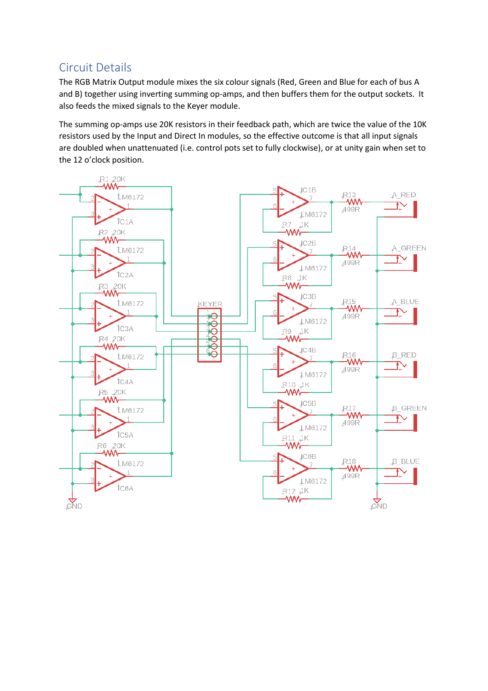## Circuit Details

The RGB Matrix Output module mixes the six colour signals (Red, Green and Blue for each of bus A and B) together using inverting summing op-amps, and then buffers them for the output sockets. It also feeds the mixed signals to the Keyer module.

The summing op-amps use 20K resistors in their feedback path, which are twice the value of the 10K resistors used by the Input and Direct In modules, so the effective outcome is that all input signals are doubled when unattenuated (i.e. control pots set to fully clockwise), or at unity gain when set to the 12 o'clock position.